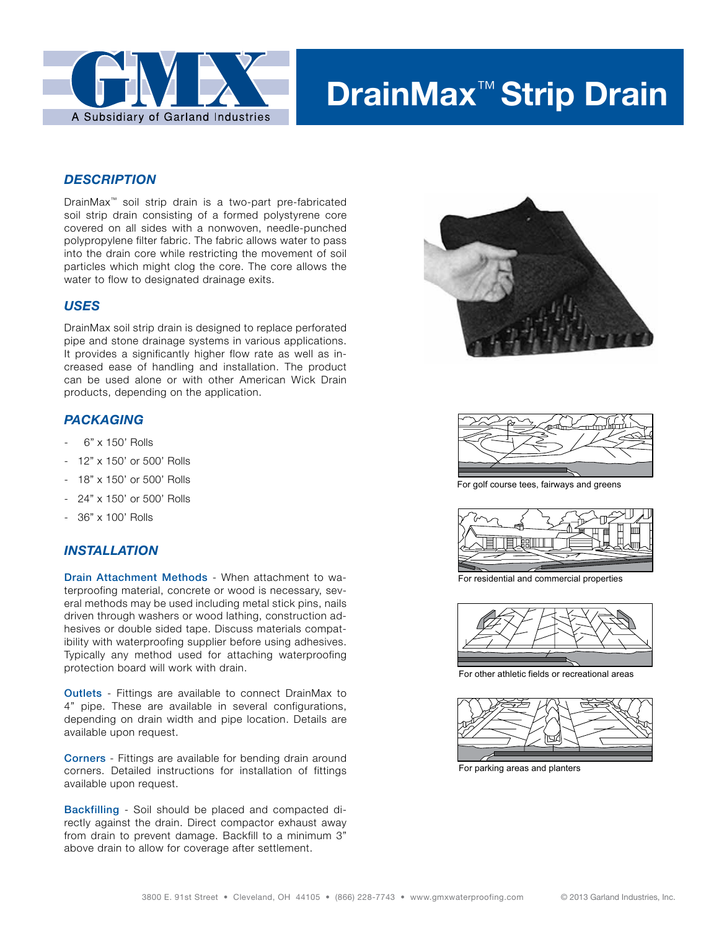

## **DrainMax**™ **Strip Drain**

## *DESCRIPTION*

DrainMax™ soil strip drain is a two-part pre-fabricated soil strip drain consisting of a formed polystyrene core covered on all sides with a nonwoven, needle-punched polypropylene filter fabric. The fabric allows water to pass into the drain core while restricting the movement of soil particles which might clog the core. The core allows the water to flow to designated drainage exits.

### *USES*

DrainMax soil strip drain is designed to replace perforated pipe and stone drainage systems in various applications. It provides a significantly higher flow rate as well as increased ease of handling and installation. The product can be used alone or with other American Wick Drain products, depending on the application.

#### *PACKAGING*

- 6" x 150' Rolls
- 12" x 150' or 500' Rolls
- 18" x 150' or 500' Rolls
- 24" x 150' or 500' Rolls
- 36" x 100' Rolls

## *INSTALLATION*

Drain Attachment Methods - When attachment to waterproofing material, concrete or wood is necessary, several methods may be used including metal stick pins, nails driven through washers or wood lathing, construction adhesives or double sided tape. Discuss materials compatibility with waterproofing supplier before using adhesives. Typically any method used for attaching waterproofing protection board will work with drain.

Outlets - Fittings are available to connect DrainMax to 4" pipe. These are available in several configurations, depending on drain width and pipe location. Details are available upon request.

Corners - Fittings are available for bending drain around corners. Detailed instructions for installation of fittings available upon request.

Backfilling - Soil should be placed and compacted directly against the drain. Direct compactor exhaust away from drain to prevent damage. Backfill to a minimum 3" above drain to allow for coverage after settlement.





For golf course tees, fairways and greens



For residential and commercial properties



For other athletic fields or recreational areas



For parking areas and planters